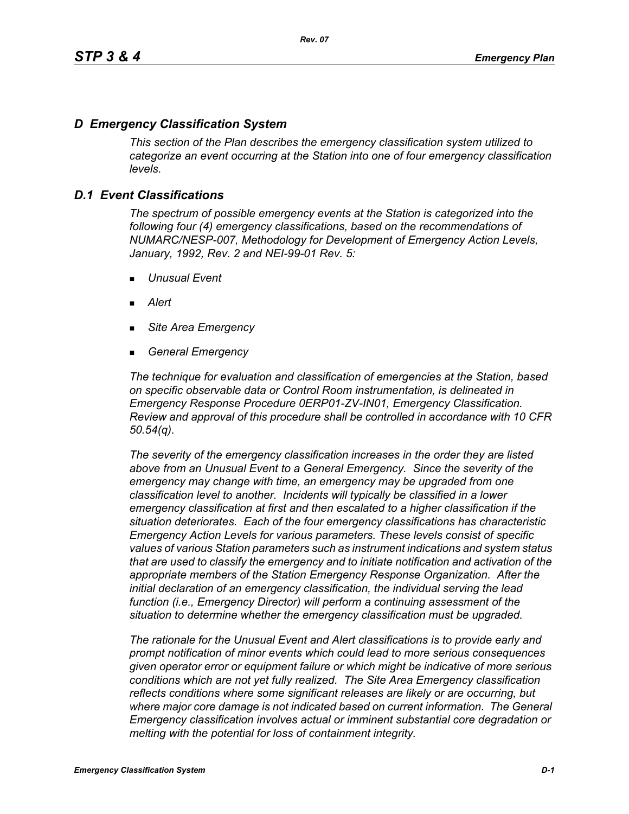# *D Emergency Classification System*

*This section of the Plan describes the emergency classification system utilized to categorize an event occurring at the Station into one of four emergency classification levels.*

# *D.1 Event Classifications*

*The spectrum of possible emergency events at the Station is categorized into the following four (4) emergency classifications, based on the recommendations of NUMARC/NESP-007, Methodology for Development of Emergency Action Levels, January, 1992, Rev. 2 and NEI-99-01 Rev. 5:*

- *Unusual Event*
- *Alert*
- *Site Area Emergency*
- *General Emergency*

*The technique for evaluation and classification of emergencies at the Station, based on specific observable data or Control Room instrumentation, is delineated in Emergency Response Procedure 0ERP01-ZV-IN01, Emergency Classification. Review and approval of this procedure shall be controlled in accordance with 10 CFR 50.54(q).*

*The severity of the emergency classification increases in the order they are listed above from an Unusual Event to a General Emergency. Since the severity of the emergency may change with time, an emergency may be upgraded from one classification level to another. Incidents will typically be classified in a lower emergency classification at first and then escalated to a higher classification if the situation deteriorates. Each of the four emergency classifications has characteristic Emergency Action Levels for various parameters. These levels consist of specific values of various Station parameters such as instrument indications and system status that are used to classify the emergency and to initiate notification and activation of the appropriate members of the Station Emergency Response Organization. After the initial declaration of an emergency classification, the individual serving the lead function (i.e., Emergency Director) will perform a continuing assessment of the situation to determine whether the emergency classification must be upgraded.*

*The rationale for the Unusual Event and Alert classifications is to provide early and prompt notification of minor events which could lead to more serious consequences given operator error or equipment failure or which might be indicative of more serious conditions which are not yet fully realized. The Site Area Emergency classification reflects conditions where some significant releases are likely or are occurring, but*  where major core damage is not indicated based on current information. The General *Emergency classification involves actual or imminent substantial core degradation or melting with the potential for loss of containment integrity.*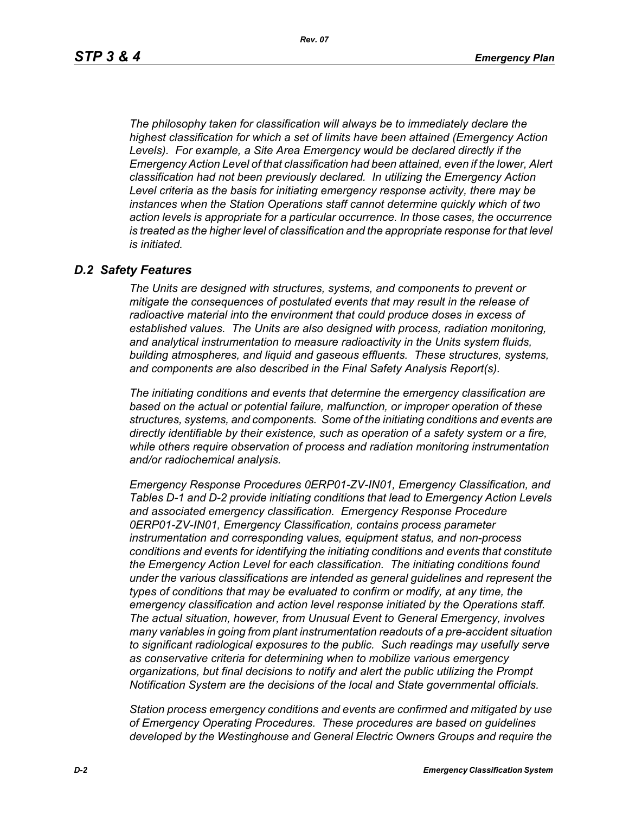*The philosophy taken for classification will always be to immediately declare the highest classification for which a set of limits have been attained (Emergency Action Levels). For example, a Site Area Emergency would be declared directly if the Emergency Action Level of that classification had been attained, even if the lower, Alert classification had not been previously declared. In utilizing the Emergency Action Level criteria as the basis for initiating emergency response activity, there may be instances when the Station Operations staff cannot determine quickly which of two action levels is appropriate for a particular occurrence. In those cases, the occurrence*  is treated as the higher level of classification and the appropriate response for that level *is initiated.*

### *D.2 Safety Features*

*The Units are designed with structures, systems, and components to prevent or mitigate the consequences of postulated events that may result in the release of radioactive material into the environment that could produce doses in excess of established values. The Units are also designed with process, radiation monitoring, and analytical instrumentation to measure radioactivity in the Units system fluids, building atmospheres, and liquid and gaseous effluents. These structures, systems, and components are also described in the Final Safety Analysis Report(s).*

*The initiating conditions and events that determine the emergency classification are based on the actual or potential failure, malfunction, or improper operation of these structures, systems, and components. Some of the initiating conditions and events are directly identifiable by their existence, such as operation of a safety system or a fire, while others require observation of process and radiation monitoring instrumentation and/or radiochemical analysis.*

*Emergency Response Procedures 0ERP01-ZV-IN01, Emergency Classification, and Tables D-1 and D-2 provide initiating conditions that lead to Emergency Action Levels and associated emergency classification. Emergency Response Procedure 0ERP01-ZV-IN01, Emergency Classification, contains process parameter instrumentation and corresponding values, equipment status, and non-process conditions and events for identifying the initiating conditions and events that constitute the Emergency Action Level for each classification. The initiating conditions found under the various classifications are intended as general guidelines and represent the types of conditions that may be evaluated to confirm or modify, at any time, the emergency classification and action level response initiated by the Operations staff. The actual situation, however, from Unusual Event to General Emergency, involves many variables in going from plant instrumentation readouts of a pre-accident situation to significant radiological exposures to the public. Such readings may usefully serve as conservative criteria for determining when to mobilize various emergency organizations, but final decisions to notify and alert the public utilizing the Prompt Notification System are the decisions of the local and State governmental officials.*

*Station process emergency conditions and events are confirmed and mitigated by use of Emergency Operating Procedures. These procedures are based on guidelines developed by the Westinghouse and General Electric Owners Groups and require the*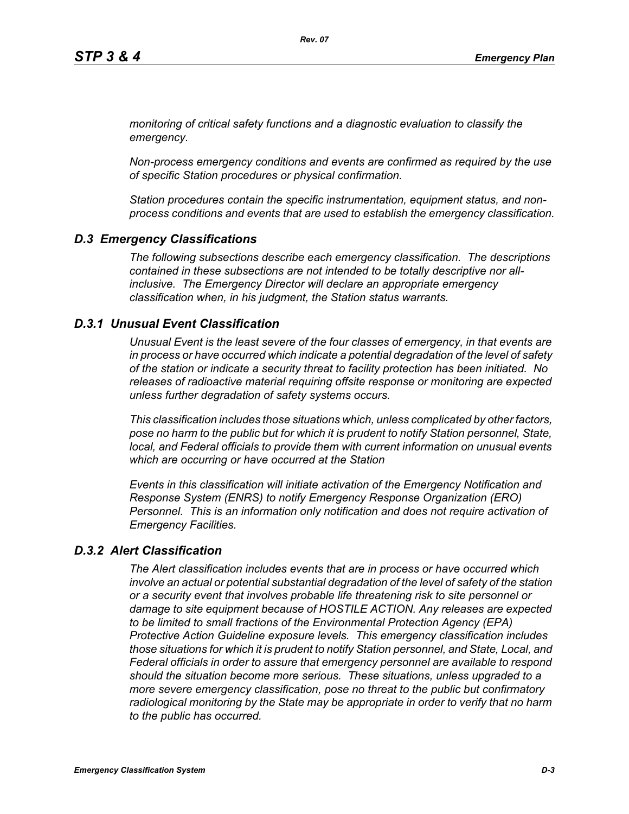*monitoring of critical safety functions and a diagnostic evaluation to classify the emergency.*

*Non-process emergency conditions and events are confirmed as required by the use of specific Station procedures or physical confirmation.*

*Station procedures contain the specific instrumentation, equipment status, and nonprocess conditions and events that are used to establish the emergency classification.*

# *D.3 Emergency Classifications*

*The following subsections describe each emergency classification. The descriptions contained in these subsections are not intended to be totally descriptive nor allinclusive. The Emergency Director will declare an appropriate emergency classification when, in his judgment, the Station status warrants.*

### *D.3.1 Unusual Event Classification*

*Unusual Event is the least severe of the four classes of emergency, in that events are in process or have occurred which indicate a potential degradation of the level of safety of the station or indicate a security threat to facility protection has been initiated. No releases of radioactive material requiring offsite response or monitoring are expected unless further degradation of safety systems occurs.*

*This classification includes those situations which, unless complicated by other factors, pose no harm to the public but for which it is prudent to notify Station personnel, State, local, and Federal officials to provide them with current information on unusual events which are occurring or have occurred at the Station*

*Events in this classification will initiate activation of the Emergency Notification and Response System (ENRS) to notify Emergency Response Organization (ERO) Personnel. This is an information only notification and does not require activation of Emergency Facilities.* 

# *D.3.2 Alert Classification*

*The Alert classification includes events that are in process or have occurred which involve an actual or potential substantial degradation of the level of safety of the station or a security event that involves probable life threatening risk to site personnel or damage to site equipment because of HOSTILE ACTION. Any releases are expected to be limited to small fractions of the Environmental Protection Agency (EPA) Protective Action Guideline exposure levels. This emergency classification includes those situations for which it is prudent to notify Station personnel, and State, Local, and Federal officials in order to assure that emergency personnel are available to respond should the situation become more serious. These situations, unless upgraded to a more severe emergency classification, pose no threat to the public but confirmatory radiological monitoring by the State may be appropriate in order to verify that no harm to the public has occurred.*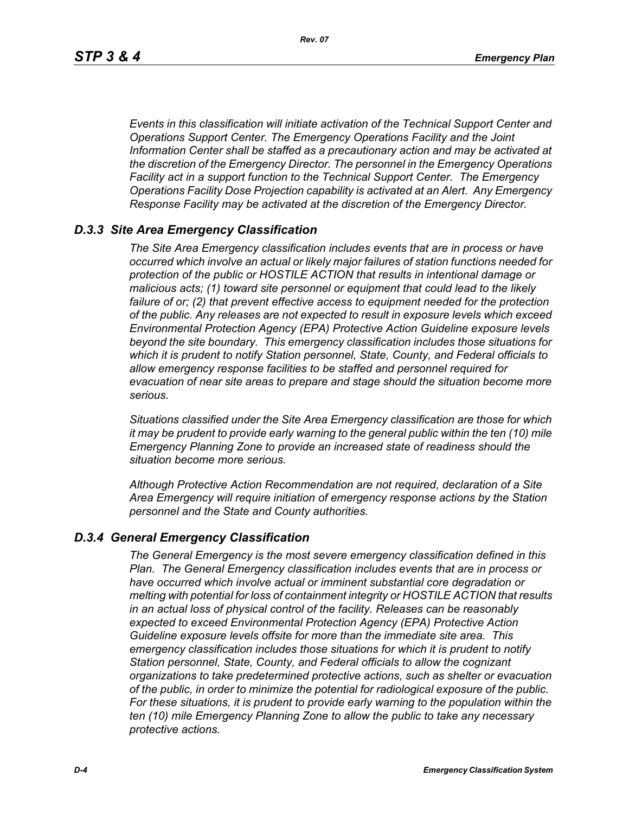*Events in this classification will initiate activation of the Technical Support Center and Operations Support Center. The Emergency Operations Facility and the Joint Information Center shall be staffed as a precautionary action and may be activated at the discretion of the Emergency Director. The personnel in the Emergency Operations Facility act in a support function to the Technical Support Center. The Emergency Operations Facility Dose Projection capability is activated at an Alert. Any Emergency Response Facility may be activated at the discretion of the Emergency Director.*

## *D.3.3 Site Area Emergency Classification*

*The Site Area Emergency classification includes events that are in process or have occurred which involve an actual or likely major failures of station functions needed for protection of the public or HOSTILE ACTION that results in intentional damage or malicious acts; (1) toward site personnel or equipment that could lead to the likely failure of or; (2) that prevent effective access to equipment needed for the protection of the public. Any releases are not expected to result in exposure levels which exceed Environmental Protection Agency (EPA) Protective Action Guideline exposure levels beyond the site boundary. This emergency classification includes those situations for which it is prudent to notify Station personnel, State, County, and Federal officials to allow emergency response facilities to be staffed and personnel required for evacuation of near site areas to prepare and stage should the situation become more serious.* 

*Situations classified under the Site Area Emergency classification are those for which it may be prudent to provide early warning to the general public within the ten (10) mile Emergency Planning Zone to provide an increased state of readiness should the situation become more serious.*

*Although Protective Action Recommendation are not required, declaration of a Site Area Emergency will require initiation of emergency response actions by the Station personnel and the State and County authorities.*

### *D.3.4 General Emergency Classification*

*The General Emergency is the most severe emergency classification defined in this Plan. The General Emergency classification includes events that are in process or have occurred which involve actual or imminent substantial core degradation or melting with potential for loss of containment integrity or HOSTILE ACTION that results in an actual loss of physical control of the facility. Releases can be reasonably expected to exceed Environmental Protection Agency (EPA) Protective Action Guideline exposure levels offsite for more than the immediate site area. This emergency classification includes those situations for which it is prudent to notify Station personnel, State, County, and Federal officials to allow the cognizant organizations to take predetermined protective actions, such as shelter or evacuation of the public, in order to minimize the potential for radiological exposure of the public. For these situations, it is prudent to provide early warning to the population within the ten (10) mile Emergency Planning Zone to allow the public to take any necessary protective actions.*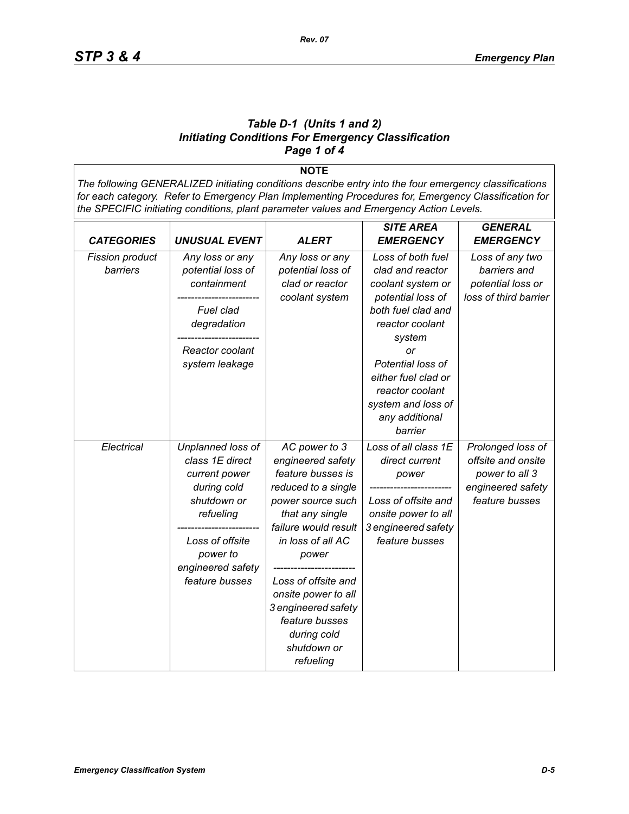#### *Table D-1 (Units 1 and 2) Initiating Conditions For Emergency Classification Page 1 of 4*

**NOTE** *The following GENERALIZED initiating conditions describe entry into the four emergency classifications for each category. Refer to Emergency Plan Implementing Procedures for, Emergency Classification for the SPECIFIC initiating conditions, plant parameter values and Emergency Action Levels.*

|                        |                      |                      | <b>SITE AREA</b>     | <b>GENERAL</b>        |
|------------------------|----------------------|----------------------|----------------------|-----------------------|
| <b>CATEGORIES</b>      | <b>UNUSUAL EVENT</b> | ALERT                | <b>EMERGENCY</b>     | <b>EMERGENCY</b>      |
| <b>Fission product</b> | Any loss or any      | Any loss or any      | Loss of both fuel    | Loss of any two       |
| barriers               | potential loss of    | potential loss of    | clad and reactor     | barriers and          |
|                        | containment          | clad or reactor      | coolant system or    | potential loss or     |
|                        |                      | coolant system       | potential loss of    | loss of third barrier |
|                        | Fuel clad            |                      | both fuel clad and   |                       |
|                        | degradation          |                      | reactor coolant      |                       |
|                        |                      |                      | system               |                       |
|                        | Reactor coolant      |                      | or                   |                       |
|                        | system leakage       |                      | Potential loss of    |                       |
|                        |                      |                      | either fuel clad or  |                       |
|                        |                      |                      | reactor coolant      |                       |
|                        |                      |                      | system and loss of   |                       |
|                        |                      |                      | any additional       |                       |
|                        |                      |                      | barrier              |                       |
| Electrical             | Unplanned loss of    | AC power to 3        | Loss of all class 1E | Prolonged loss of     |
|                        | class 1E direct      | engineered safety    | direct current       | offsite and onsite    |
|                        | current power        | feature busses is    | power                | power to all 3        |
|                        | during cold          | reduced to a single  |                      | engineered safety     |
|                        | shutdown or          | power source such    | Loss of offsite and  | feature busses        |
|                        | refueling            | that any single      | onsite power to all  |                       |
|                        |                      | failure would result | 3 engineered safety  |                       |
|                        | Loss of offsite      | in loss of all AC    | feature busses       |                       |
|                        | power to             | power                |                      |                       |
|                        | engineered safety    |                      |                      |                       |
|                        | feature busses       | Loss of offsite and  |                      |                       |
|                        |                      | onsite power to all  |                      |                       |
|                        |                      | 3 engineered safety  |                      |                       |
|                        |                      | feature busses       |                      |                       |
|                        |                      | during cold          |                      |                       |
|                        |                      | shutdown or          |                      |                       |
|                        |                      | refueling            |                      |                       |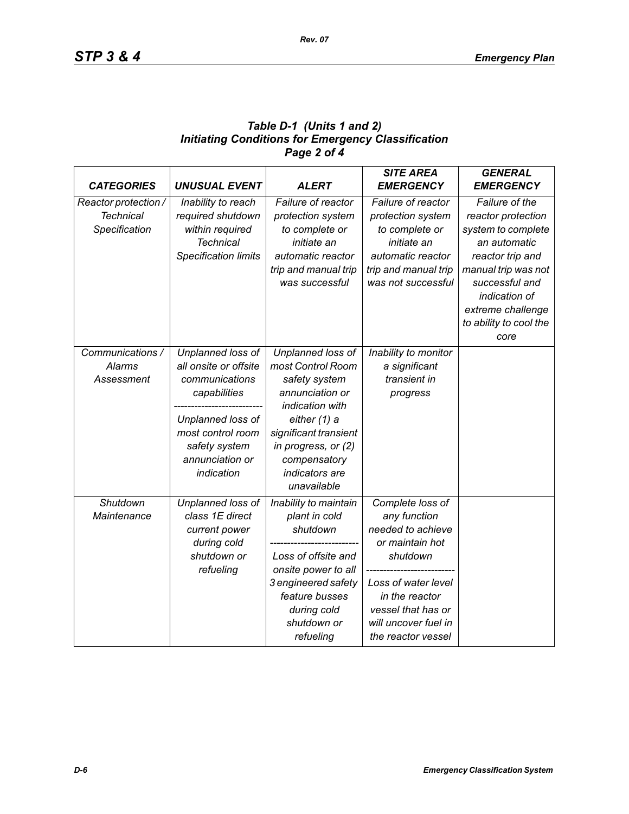# *Table D-1 (Units 1 and 2) Initiating Conditions for Emergency Classification Page 2 of 4*

|                      |                             |                       | <b>SITE AREA</b>     | <b>GENERAL</b>         |
|----------------------|-----------------------------|-----------------------|----------------------|------------------------|
| <b>CATEGORIES</b>    | <b>UNUSUAL EVENT</b>        | <b>ALERT</b>          | <b>EMERGENCY</b>     | <b>EMERGENCY</b>       |
| Reactor protection / | Inability to reach          | Failure of reactor    | Failure of reactor   | Failure of the         |
| <b>Technical</b>     | required shutdown           | protection system     | protection system    | reactor protection     |
| Specification        | within required             | to complete or        | to complete or       | system to complete     |
|                      | <b>Technical</b>            | initiate an           | initiate an          | an automatic           |
|                      | <b>Specification limits</b> | automatic reactor     | automatic reactor    | reactor trip and       |
|                      |                             | trip and manual trip  | trip and manual trip | manual trip was not    |
|                      |                             | was successful        | was not successful   | successful and         |
|                      |                             |                       |                      | indication of          |
|                      |                             |                       |                      | extreme challenge      |
|                      |                             |                       |                      | to ability to cool the |
|                      |                             |                       |                      | core                   |
| Communications /     | Unplanned loss of           | Unplanned loss of     | Inability to monitor |                        |
| Alarms               | all onsite or offsite       | most Control Room     | a significant        |                        |
| Assessment           | communications              | safety system         | transient in         |                        |
|                      | capabilities                | annunciation or       | progress             |                        |
|                      |                             | indication with       |                      |                        |
|                      | Unplanned loss of           | either (1) a          |                      |                        |
|                      | most control room           | significant transient |                      |                        |
|                      | safety system               | in progress, or (2)   |                      |                        |
|                      | annunciation or             | compensatory          |                      |                        |
|                      | indication                  | indicators are        |                      |                        |
|                      |                             | unavailable           |                      |                        |
| Shutdown             | Unplanned loss of           | Inability to maintain | Complete loss of     |                        |
| Maintenance          | class 1E direct             | plant in cold         | any function         |                        |
|                      | current power               | shutdown              | needed to achieve    |                        |
|                      | during cold                 |                       | or maintain hot      |                        |
|                      | shutdown or                 | Loss of offsite and   | shutdown             |                        |
|                      | refueling                   | onsite power to all   |                      |                        |
|                      |                             | 3 engineered safety   | Loss of water level  |                        |
|                      |                             | feature busses        | in the reactor       |                        |
|                      |                             | during cold           | vessel that has or   |                        |
|                      |                             | shutdown or           | will uncover fuel in |                        |
|                      |                             | refueling             | the reactor vessel   |                        |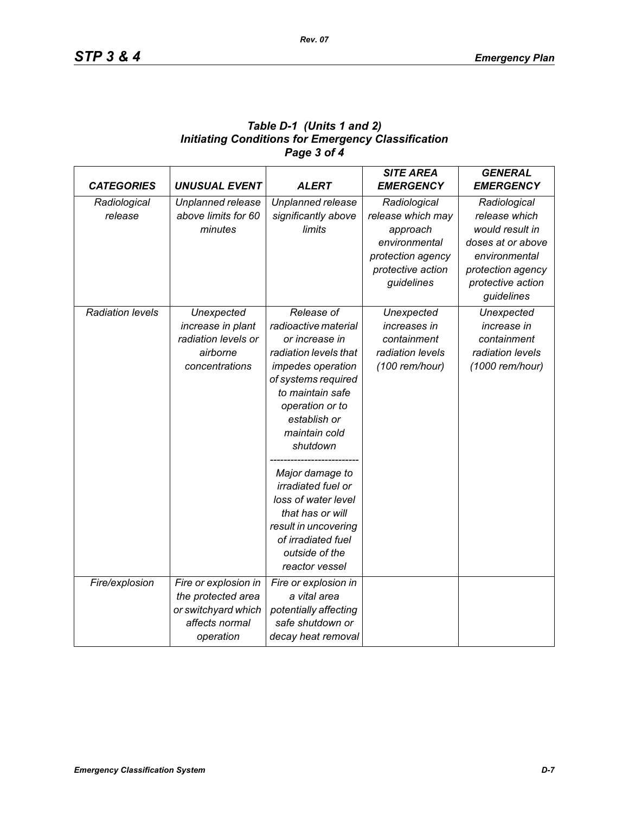| Table D-1 (Units 1 and 2)                                 |
|-----------------------------------------------------------|
| <b>Initiating Conditions for Emergency Classification</b> |
| Page 3 of 4                                               |

| <b>CATEGORIES</b>       | <b>UNUSUAL EVENT</b> | <b>ALERT</b>              | <b>SITE AREA</b><br><b>EMERGENCY</b> | <b>GENERAL</b><br><b>EMERGENCY</b> |
|-------------------------|----------------------|---------------------------|--------------------------------------|------------------------------------|
| Radiological            | Unplanned release    | Unplanned release         | Radiological                         | Radiological                       |
| release                 | above limits for 60  | significantly above       | release which may                    | release which                      |
|                         | minutes              | limits                    | approach                             | would result in                    |
|                         |                      |                           | environmental                        | doses at or above                  |
|                         |                      |                           | protection agency                    | environmental                      |
|                         |                      |                           | protective action                    | protection agency                  |
|                         |                      |                           | guidelines                           | protective action                  |
|                         |                      |                           |                                      | guidelines                         |
| <b>Radiation levels</b> | Unexpected           | Release of                | Unexpected                           | Unexpected                         |
|                         | increase in plant    | radioactive material      | increases in                         | increase in                        |
|                         | radiation levels or  | or increase in            | containment                          | containment                        |
|                         | airborne             | radiation levels that     | radiation levels                     | radiation levels                   |
|                         | concentrations       | impedes operation         | (100 rem/hour)                       | (1000 rem/hour)                    |
|                         |                      | of systems required       |                                      |                                    |
|                         |                      | to maintain safe          |                                      |                                    |
|                         |                      | operation or to           |                                      |                                    |
|                         |                      | establish or              |                                      |                                    |
|                         |                      | maintain cold             |                                      |                                    |
|                         |                      | shutdown                  |                                      |                                    |
|                         |                      | Major damage to           |                                      |                                    |
|                         |                      | <i>irradiated fuel or</i> |                                      |                                    |
|                         |                      | loss of water level       |                                      |                                    |
|                         |                      | that has or will          |                                      |                                    |
|                         |                      | result in uncovering      |                                      |                                    |
|                         |                      | of irradiated fuel        |                                      |                                    |
|                         |                      | outside of the            |                                      |                                    |
|                         |                      | reactor vessel            |                                      |                                    |
| Fire/explosion          | Fire or explosion in | Fire or explosion in      |                                      |                                    |
|                         | the protected area   | a vital area              |                                      |                                    |
|                         | or switchyard which  | potentially affecting     |                                      |                                    |
|                         | affects normal       | safe shutdown or          |                                      |                                    |
|                         | operation            | decay heat removal        |                                      |                                    |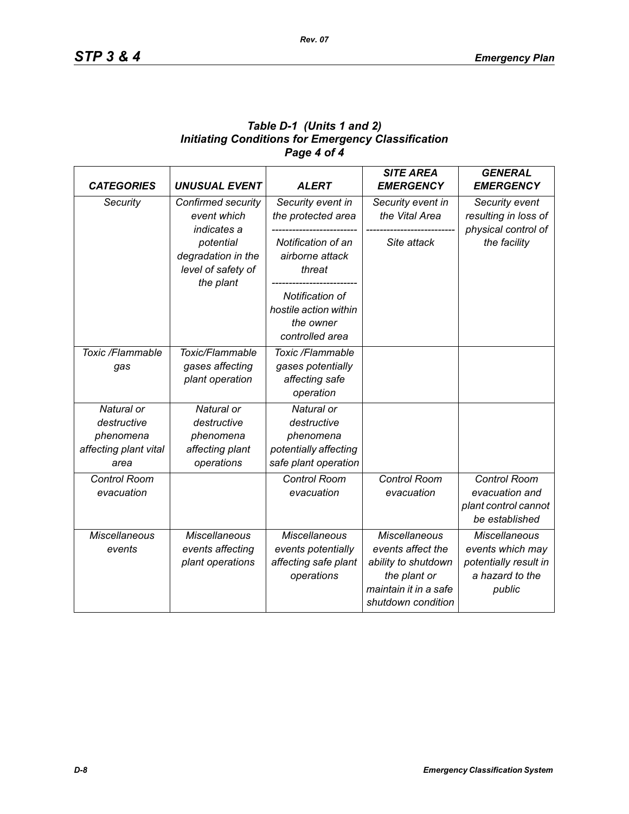## *Table D-1 (Units 1 and 2) Initiating Conditions for Emergency Classification Page 4 of 4*

| <b>CATEGORIES</b>                                                       | <b>UNUSUAL EVENT</b>                                                    | <b>ALERT</b>                                                                            | <b>SITE AREA</b><br><b>EMERGENCY</b>                                                                                            | <b>GENERAL</b><br><b>EMERGENCY</b>                                                             |
|-------------------------------------------------------------------------|-------------------------------------------------------------------------|-----------------------------------------------------------------------------------------|---------------------------------------------------------------------------------------------------------------------------------|------------------------------------------------------------------------------------------------|
| Security                                                                | Confirmed security<br>event which<br>indicates a                        | Security event in<br>the protected area                                                 | Security event in<br>the Vital Area                                                                                             | Security event<br>resulting in loss of<br>physical control of                                  |
|                                                                         | potential<br>degradation in the<br>level of safety of<br>the plant      | Notification of an<br>airborne attack<br>threat                                         | Site attack                                                                                                                     | the facility                                                                                   |
|                                                                         |                                                                         | Notification of<br>hostile action within<br>the owner<br>controlled area                |                                                                                                                                 |                                                                                                |
| Toxic /Flammable<br>gas                                                 | Toxic/Flammable<br>gases affecting<br>plant operation                   | Toxic /Flammable<br>gases potentially<br>affecting safe<br>operation                    |                                                                                                                                 |                                                                                                |
| Natural or<br>destructive<br>phenomena<br>affecting plant vital<br>area | Natural or<br>destructive<br>phenomena<br>affecting plant<br>operations | Natural or<br>destructive<br>phenomena<br>potentially affecting<br>safe plant operation |                                                                                                                                 |                                                                                                |
| <b>Control Room</b><br>evacuation                                       |                                                                         | <b>Control Room</b><br>evacuation                                                       | Control Room<br>evacuation                                                                                                      | Control Room<br>evacuation and<br>plant control cannot<br>be established                       |
| <b>Miscellaneous</b><br>events                                          | <b>Miscellaneous</b><br>events affecting<br>plant operations            | <b>Miscellaneous</b><br>events potentially<br>affecting safe plant<br>operations        | <b>Miscellaneous</b><br>events affect the<br>ability to shutdown<br>the plant or<br>maintain it in a safe<br>shutdown condition | <b>Miscellaneous</b><br>events which may<br>potentially result in<br>a hazard to the<br>public |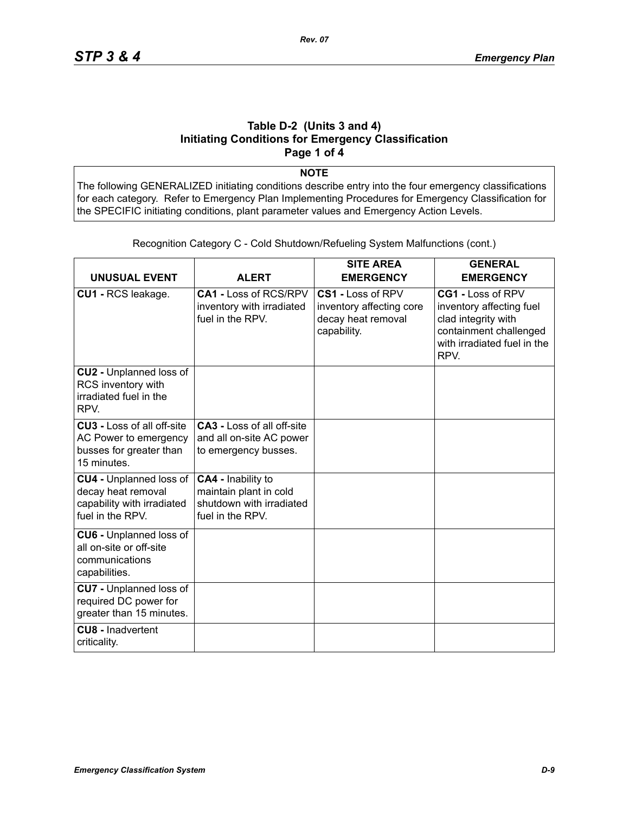#### **Table D-2 (Units 3 and 4) Initiating Conditions for Emergency Classification Page 1 of 4**

**NOTE**

The following GENERALIZED initiating conditions describe entry into the four emergency classifications for each category. Refer to Emergency Plan Implementing Procedures for Emergency Classification for the SPECIFIC initiating conditions, plant parameter values and Emergency Action Levels.

| <b>UNUSUAL EVENT</b>                                                                                   | <b>ALERT</b>                                                                                 | <b>SITE AREA</b><br><b>EMERGENCY</b>                                               | <b>GENERAL</b><br><b>EMERGENCY</b>                                                                                                    |
|--------------------------------------------------------------------------------------------------------|----------------------------------------------------------------------------------------------|------------------------------------------------------------------------------------|---------------------------------------------------------------------------------------------------------------------------------------|
| CU1 - RCS leakage.                                                                                     | <b>CA1 - Loss of RCS/RPV</b><br>inventory with irradiated<br>fuel in the RPV.                | CS1 - Loss of RPV<br>inventory affecting core<br>decay heat removal<br>capability. | CG1 - Loss of RPV<br>inventory affecting fuel<br>clad integrity with<br>containment challenged<br>with irradiated fuel in the<br>RPV. |
| CU2 - Unplanned loss of<br>RCS inventory with<br>irradiated fuel in the<br>RPV.                        |                                                                                              |                                                                                    |                                                                                                                                       |
| <b>CU3 - Loss of all off-site</b><br>AC Power to emergency<br>busses for greater than<br>15 minutes.   | <b>CA3 - Loss of all off-site</b><br>and all on-site AC power<br>to emergency busses.        |                                                                                    |                                                                                                                                       |
| <b>CU4 - Unplanned loss of</b><br>decay heat removal<br>capability with irradiated<br>fuel in the RPV. | CA4 - Inability to<br>maintain plant in cold<br>shutdown with irradiated<br>fuel in the RPV. |                                                                                    |                                                                                                                                       |
| <b>CU6 - Unplanned loss of</b><br>all on-site or off-site<br>communications<br>capabilities.           |                                                                                              |                                                                                    |                                                                                                                                       |
| <b>CU7</b> - Unplanned loss of<br>required DC power for<br>greater than 15 minutes.                    |                                                                                              |                                                                                    |                                                                                                                                       |
| <b>CU8 - Inadvertent</b><br>criticality.                                                               |                                                                                              |                                                                                    |                                                                                                                                       |

Recognition Category C - Cold Shutdown/Refueling System Malfunctions (cont.)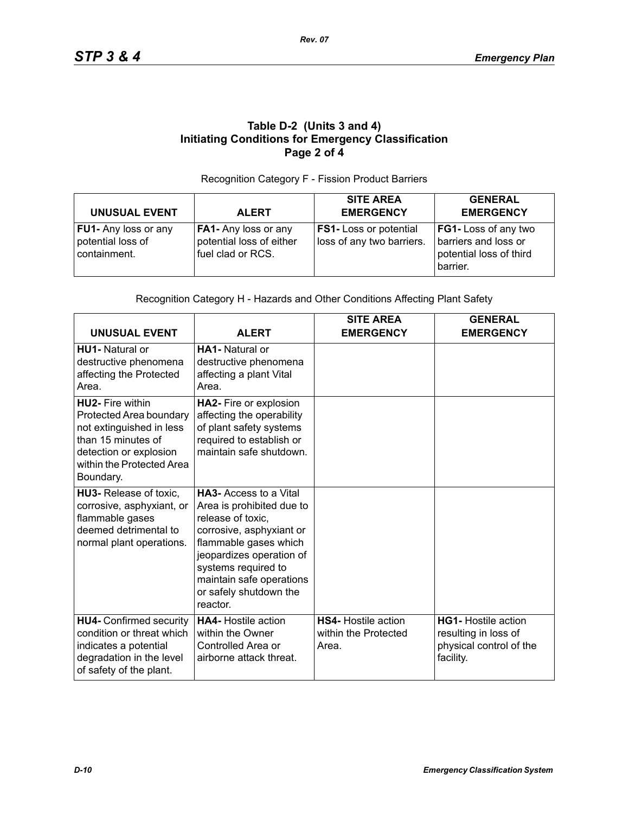## **Table D-2 (Units 3 and 4) Initiating Conditions for Emergency Classification Page 2 of 4**

#### Recognition Category F - Fission Product Barriers

| <b>UNUSUAL EVENT</b>                                             | <b>ALERT</b>                                                          | <b>SITE AREA</b><br><b>EMERGENCY</b>                       | <b>GENERAL</b><br><b>EMERGENCY</b>                                                  |
|------------------------------------------------------------------|-----------------------------------------------------------------------|------------------------------------------------------------|-------------------------------------------------------------------------------------|
| <b>FU1-</b> Any loss or any<br>potential loss of<br>containment. | FA1- Any loss or any<br>potential loss of either<br>fuel clad or RCS. | <b>FS1-</b> Loss or potential<br>loss of any two barriers. | FG1- Loss of any two<br>barriers and loss or<br>potential loss of third<br>barrier. |

#### Recognition Category H - Hazards and Other Conditions Affecting Plant Safety

| <b>UNUSUAL EVENT</b>                                                                                                                                                     | <b>ALERT</b>                                                                                                                                                                                                                                             | <b>SITE AREA</b><br><b>EMERGENCY</b>                        | <b>GENERAL</b><br><b>EMERGENCY</b>                                                         |
|--------------------------------------------------------------------------------------------------------------------------------------------------------------------------|----------------------------------------------------------------------------------------------------------------------------------------------------------------------------------------------------------------------------------------------------------|-------------------------------------------------------------|--------------------------------------------------------------------------------------------|
| <b>HU1-</b> Natural or<br>destructive phenomena<br>affecting the Protected<br>Area.                                                                                      | <b>HA1-</b> Natural or<br>destructive phenomena<br>affecting a plant Vital<br>Area.                                                                                                                                                                      |                                                             |                                                                                            |
| <b>HU2-</b> Fire within<br>Protected Area boundary<br>not extinguished in less<br>than 15 minutes of<br>detection or explosion<br>within the Protected Area<br>Boundary. | HA2- Fire or explosion<br>affecting the operability<br>of plant safety systems<br>required to establish or<br>maintain safe shutdown.                                                                                                                    |                                                             |                                                                                            |
| HU3- Release of toxic,<br>corrosive, asphyxiant, or<br>flammable gases<br>deemed detrimental to<br>normal plant operations.                                              | <b>HA3-Access to a Vital</b><br>Area is prohibited due to<br>release of toxic,<br>corrosive, asphyxiant or<br>flammable gases which<br>jeopardizes operation of<br>systems required to<br>maintain safe operations<br>or safely shutdown the<br>reactor. |                                                             |                                                                                            |
| <b>HU4- Confirmed security</b><br>condition or threat which<br>indicates a potential<br>degradation in the level<br>of safety of the plant.                              | <b>HA4-</b> Hostile action<br>within the Owner<br>Controlled Area or<br>airborne attack threat.                                                                                                                                                          | <b>HS4-</b> Hostile action<br>within the Protected<br>Area. | <b>HG1-</b> Hostile action<br>resulting in loss of<br>physical control of the<br>facility. |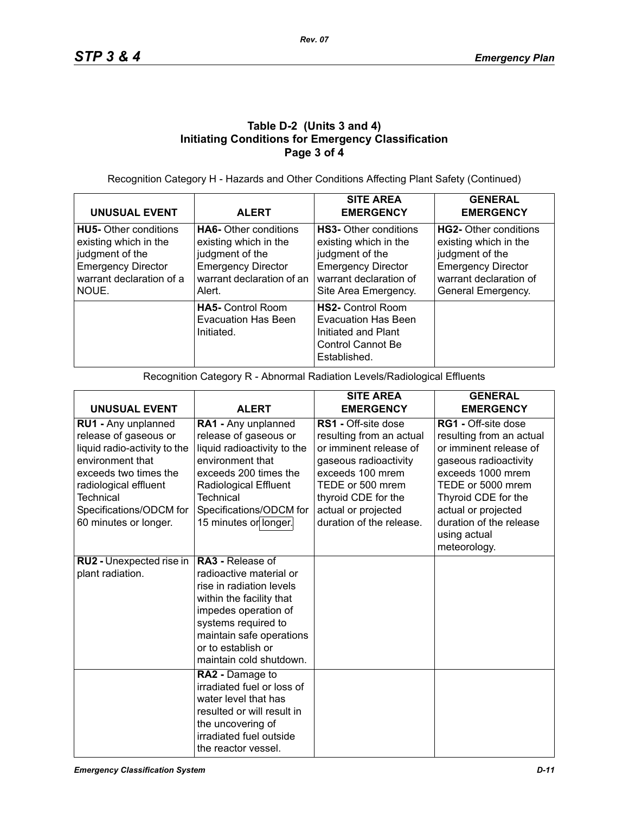## **Table D-2 (Units 3 and 4) Initiating Conditions for Emergency Classification Page 3 of 4**

Recognition Category H - Hazards and Other Conditions Affecting Plant Safety (Continued)

| <b>UNUSUAL EVENT</b>                                                                                                                       | <b>ALERT</b>                                                                                                                                 | <b>SITE AREA</b><br><b>EMERGENCY</b>                                                                                                                    | <b>GENERAL</b><br><b>EMERGENCY</b>                                                                                                             |
|--------------------------------------------------------------------------------------------------------------------------------------------|----------------------------------------------------------------------------------------------------------------------------------------------|---------------------------------------------------------------------------------------------------------------------------------------------------------|------------------------------------------------------------------------------------------------------------------------------------------------|
| <b>HU5-</b> Other conditions<br>existing which in the<br>judgment of the<br><b>Emergency Director</b><br>warrant declaration of a<br>NOUE. | <b>HA6-</b> Other conditions<br>existing which in the<br>judgment of the<br><b>Emergency Director</b><br>warrant declaration of an<br>Alert. | <b>HS3-</b> Other conditions<br>existing which in the<br>judgment of the<br><b>Emergency Director</b><br>warrant declaration of<br>Site Area Emergency. | HG2- Other conditions<br>existing which in the<br>judgment of the<br><b>Emergency Director</b><br>warrant declaration of<br>General Emergency. |
|                                                                                                                                            | <b>HA5-</b> Control Room<br><b>Evacuation Has Been</b><br>Initiated.                                                                         | <b>HS2-</b> Control Room<br>Evacuation Has Been<br>Initiated and Plant<br>Control Cannot Be<br>Established.                                             |                                                                                                                                                |

Recognition Category R - Abnormal Radiation Levels/Radiological Effluents

|                                                                                                                                                                                                                     |                                                                                                                                                                                                                                        | <b>SITE AREA</b>                                                                                                                                                                                                     | <b>GENERAL</b>                                                                                                                                                                                                                        |
|---------------------------------------------------------------------------------------------------------------------------------------------------------------------------------------------------------------------|----------------------------------------------------------------------------------------------------------------------------------------------------------------------------------------------------------------------------------------|----------------------------------------------------------------------------------------------------------------------------------------------------------------------------------------------------------------------|---------------------------------------------------------------------------------------------------------------------------------------------------------------------------------------------------------------------------------------|
| <b>UNUSUAL EVENT</b>                                                                                                                                                                                                | <b>ALERT</b>                                                                                                                                                                                                                           | <b>EMERGENCY</b>                                                                                                                                                                                                     | <b>EMERGENCY</b>                                                                                                                                                                                                                      |
| RU1 - Any unplanned<br>release of gaseous or<br>liquid radio-activity to the<br>environment that<br>exceeds two times the<br>radiological effluent<br>Technical<br>Specifications/ODCM for<br>60 minutes or longer. | RA1 - Any unplanned<br>release of gaseous or<br>liquid radioactivity to the<br>environment that<br>exceeds 200 times the<br>Radiological Effluent<br>Technical<br>Specifications/ODCM for<br>15 minutes or longer.                     | RS1 - Off-site dose<br>resulting from an actual<br>or imminent release of<br>gaseous radioactivity<br>exceeds 100 mrem<br>TEDE or 500 mrem<br>thyroid CDE for the<br>actual or projected<br>duration of the release. | RG1 - Off-site dose<br>resulting from an actual<br>or imminent release of<br>gaseous radioactivity<br>exceeds 1000 mrem<br>TEDE or 5000 mrem<br>Thyroid CDE for the<br>actual or projected<br>duration of the release<br>using actual |
|                                                                                                                                                                                                                     |                                                                                                                                                                                                                                        |                                                                                                                                                                                                                      | meteorology.                                                                                                                                                                                                                          |
| RU2 - Unexpected rise in<br>plant radiation.                                                                                                                                                                        | <b>RA3 - Release of</b><br>radioactive material or<br>rise in radiation levels<br>within the facility that<br>impedes operation of<br>systems required to<br>maintain safe operations<br>or to establish or<br>maintain cold shutdown. |                                                                                                                                                                                                                      |                                                                                                                                                                                                                                       |
|                                                                                                                                                                                                                     | RA2 - Damage to<br>irradiated fuel or loss of<br>water level that has<br>resulted or will result in<br>the uncovering of<br>irradiated fuel outside<br>the reactor vessel.                                                             |                                                                                                                                                                                                                      |                                                                                                                                                                                                                                       |